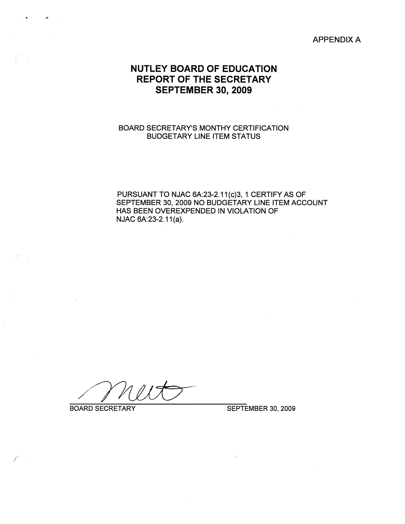APPENDIX A

## **NUTLEY BOARD OF EDUCATION REPORT OF THE SECRETARY SEPTEMBER 30, 2009**

#### BOARD SECRETARY'S MONTHY CERTIFICATION BUDGETARY LINE ITEM STATUS

PURSUANT TO NJAC 6A:23-2.11(c)3, 1 CERTIFY AS OF SEPTEMBER 30, 2009 NO BUDGETARY LINE ITEM ACCOUNT HAS BEEN OVEREXPENDED IN VIOLATION OF NJAC 6A:23-2.11(a).

/

*(* 

" .<br>" .<br>" .

BOARD SECRETARY SEPTEMBER 30, 2009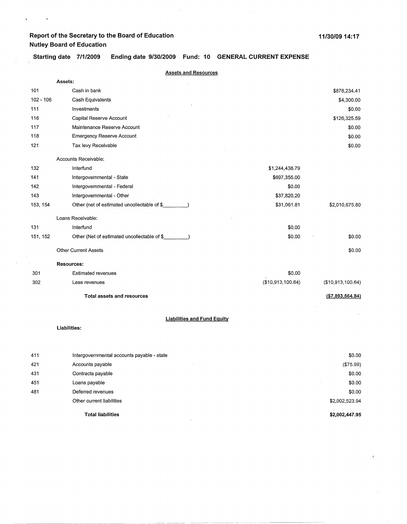$\sqrt{\frac{1}{2}}$  ,  $\frac{1}{2}$ 

Starting date 7/1/2009 Ending date 9/30/2009 Fund: 10 GENERAL CURRENT EXPENSE

 $\bar{I}$ 

|             | <b>Assets and Resources</b>                        |                   |                   |
|-------------|----------------------------------------------------|-------------------|-------------------|
|             | Assets:                                            |                   |                   |
| 101         | Cash in bank                                       |                   | \$878,234.41      |
| $102 - 106$ | Cash Equivalents                                   |                   | \$4,300.00        |
| 111         | Investments                                        |                   | \$0.00            |
| 116         | Capital Reserve Account                            |                   | \$126,325.59      |
| 117         | Maintenance Reserve Account                        |                   | \$0.00            |
| 118         | <b>Emergency Reserve Account</b>                   |                   | \$0.00            |
| 121         | Tax levy Receivable                                |                   | \$0.00            |
|             | Accounts Receivable:                               |                   |                   |
| 132         | Interfund                                          | \$1,244,438.79    |                   |
| 141         | Intergovernmental - State                          | \$697,355.00      |                   |
| 142         | Intergovernmental - Federal                        | \$0.00            |                   |
| 143         | Intergovernmental - Other                          | \$37,820.20       |                   |
| 153, 154    | Other (net of estimated uncollectable of \$        | \$31,061.81       | \$2,010,675.80    |
|             | Loans Receivable:                                  |                   |                   |
| 131         | Interfund                                          | \$0.00            |                   |
| 151, 152    | Other (Net of estimated uncollectable of \$        | \$0.00            | \$0.00            |
|             | <b>Other Current Assets</b>                        |                   | \$0.00            |
|             | <b>Resources:</b>                                  |                   |                   |
| 301         | <b>Estimated revenues</b>                          | \$0.00            |                   |
| 302         | Less revenues                                      | (\$10,913,100.64) | (\$10,913,100.64) |
|             | <b>Total assets and resources</b>                  |                   | ( \$7,893,564.84) |
|             |                                                    |                   |                   |
|             | <b>Liabilities and Fund Equity</b><br>Liabilities: |                   |                   |
|             |                                                    |                   |                   |
| 411         | Intergovernmental accounts payable - state         |                   | \$0.00            |
| 421         | Accounts payable                                   |                   | (\$75.99)         |
| 431         | Contracts payable                                  |                   | \$0.00            |
| 451         | Loans payable                                      |                   | \$0.00            |
| 481         | Deferred revenues                                  |                   | \$0.00            |
|             | Other current liabilities                          |                   | \$2,002,523.94    |
|             | <b>Total liabilities</b>                           |                   | \$2,002,447.95    |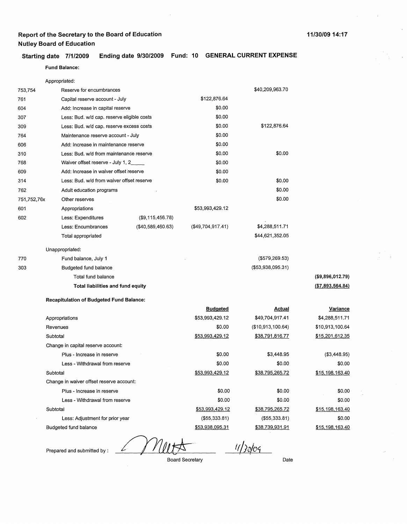#### **Starting date 7/1/2009 Ending date 9/30/2009 Fund: 10 GENERAL CURRENT EXPENSE**

#### **Fund Balance:**

|             | Appropriated:                                   |                   |                   |                        |                   |
|-------------|-------------------------------------------------|-------------------|-------------------|------------------------|-------------------|
| 753,754     | Reserve for encumbrances                        |                   |                   | \$40,209,963.70        |                   |
| 761         | Capital reserve account - July                  |                   | \$122,876.64      |                        |                   |
| 604         | Add: Increase in capital reserve                |                   | \$0.00            |                        |                   |
| 307         | Less: Bud. w/d cap. reserve eligible costs      |                   | \$0.00            |                        |                   |
| 309         | Less: Bud. w/d cap. reserve excess costs        |                   | \$0.00            | \$122,876.64           |                   |
| 764         | Maintenance reserve account - July              |                   | \$0.00            |                        |                   |
| 606         | Add: Increase in maintenance reserve            |                   | \$0.00            |                        |                   |
| 310         | Less: Bud. w/d from maintenance reserve         |                   | \$0.00            | \$0.00                 |                   |
| 768         | Waiver offset reserve - July 1, 2_              |                   | \$0.00            |                        |                   |
| 609         | Add: Increase in waiver offset reserve          |                   | \$0.00            |                        |                   |
| 314         | Less: Bud. w/d from waiver offset reserve       |                   | \$0.00            | \$0.00                 |                   |
| 762         | Adult education programs                        |                   |                   | \$0.00                 |                   |
| 751,752,76x | Other reserves                                  |                   |                   | \$0.00                 |                   |
| 601         | Appropriations                                  |                   | \$53,993,429.12   |                        |                   |
| 602         | Less: Expenditures                              | (\$9,115,456.78)  |                   |                        |                   |
|             | Less: Encumbrances                              | (\$40,589,460.63) | (\$49,704,917.41) | \$4,288,511.71         |                   |
|             | Total appropriated                              |                   |                   | \$44,621,352.05        |                   |
|             | Unappropriated:                                 |                   |                   |                        |                   |
| 770         | Fund balance, July 1                            |                   |                   | $($ \$579,269.53)      |                   |
| 303         | Budgeted fund balance                           |                   |                   | (\$53,938,095.31)      |                   |
|             | Total fund balance                              |                   |                   |                        | (\$9,896,012.79)  |
|             | Total liabilities and fund equity               |                   |                   |                        | ( \$7,893,564.84) |
|             | <b>Recapitulation of Budgeted Fund Balance:</b> |                   |                   |                        |                   |
|             |                                                 |                   | <b>Budgeted</b>   | <u>Actual</u>          | <u>Variance</u>   |
|             | Appropriations                                  |                   | \$53,993,429.12   | \$49,704,917.41        | \$4,288,511.71    |
|             | Revenues                                        |                   | \$0.00            | (\$10,913,100.64)      | \$10,913,100.64   |
|             | Subtotal                                        |                   | \$53,993,429.12   | <u>\$38,791,816.77</u> | \$15,201,612.35   |
|             | Change in capital reserve account:              |                   |                   |                        |                   |
|             | Plus - Increase in reserve                      |                   | \$0.00            | \$3,448.95             | (\$3,448.95)      |
|             | Less - Withdrawal from reserve                  |                   | \$0.00            | \$0.00                 | \$0.00            |
|             | Subtotal                                        |                   | \$53,993,429.12   | \$38,795,265.72        | \$15,198,163.40   |
|             | Change in waiver offset reserve account:        |                   |                   |                        |                   |
|             | Plus - Increase in reserve                      |                   | \$0.00            | \$0.00                 | \$0.00            |
|             | Less - Withdrawal from reserve                  |                   | \$0.00            | \$0.00                 | \$0.00            |
|             | Subtotal                                        |                   | \$53,993,429.12   | \$38,795,265.72        | \$15,198,163.40   |
|             | Less: Adjustment for prior year                 |                   | (\$55,333.81)     | ( \$55, 333.81)        | \$0.00            |
|             | Budgeted fund balance                           |                   | \$53,938,095.31   | <u>\$38,739,931.91</u> | \$15,198,163.40   |

Prepared and submitted by :

 $11/30/09$ 

Board Secretary

Date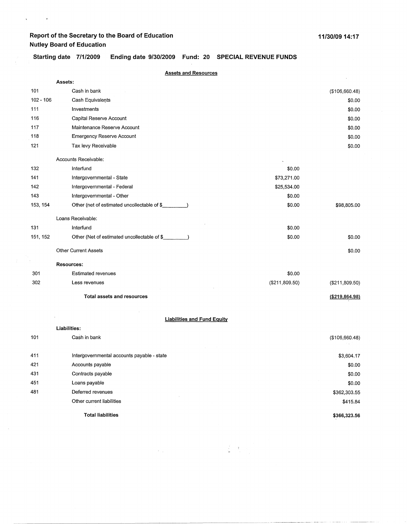$\sqrt{1-\left(1-\frac{1}{2}\right)}$  ,  $\sqrt{1-\left(1-\frac{1}{2}\right)}$ 

 $\mathcal{A}^{\mathcal{A}}$ 

**Starting date 7/1/2009 Ending date 9/30/2009 Fund: 20 SPECIAL REVENUE FUNDS** 

|             | <b>Assets and Resources</b>                                                        |                  |                  |
|-------------|------------------------------------------------------------------------------------|------------------|------------------|
|             | Assets:                                                                            |                  |                  |
| 101         | Cash in bank                                                                       |                  | (\$106,660.48)   |
| $102 - 106$ | Cash Equivalents                                                                   |                  | \$0.00           |
| 111         | Investments                                                                        |                  | \$0.00           |
| 116         | Capital Reserve Account                                                            |                  | \$0.00           |
| 117         | Maintenance Reserve Account                                                        |                  | \$0.00           |
| 118         | <b>Emergency Reserve Account</b>                                                   |                  | \$0.00           |
| 121         | Tax levy Receivable                                                                |                  | \$0.00           |
|             | Accounts Receivable:                                                               |                  |                  |
| 132         | Interfund                                                                          | \$0.00           |                  |
| 141         | Intergovernmental - State                                                          | \$73,271.00      |                  |
| 142         | Intergovernmental - Federal                                                        | \$25,534.00      |                  |
| 143         | Intergovernmental - Other                                                          | \$0.00           |                  |
| 153, 154    | Other (net of estimated uncollectable of \$_<br>$\sim$ $\sim$ $\sim$ $\sim$ $\sim$ | \$0.00           | \$98,805.00      |
|             | Loans Receivable:                                                                  |                  |                  |
| 131         | Interfund                                                                          | \$0.00           |                  |
| 151, 152    | Other (Net of estimated uncollectable of \$                                        | \$0.00           | \$0.00           |
|             | <b>Other Current Assets</b>                                                        |                  | \$0.00           |
|             | <b>Resources:</b>                                                                  |                  |                  |
| 301         | <b>Estimated revenues</b>                                                          | \$0.00           |                  |
| 302         | Less revenues                                                                      | ( \$211, 809.50) | (\$211,809.50)   |
|             | <b>Total assets and resources</b>                                                  |                  | ( \$219, 664.98) |
|             |                                                                                    |                  |                  |
|             | <b>Liabilities and Fund Equity</b>                                                 |                  |                  |
|             | Liabilities:                                                                       |                  |                  |
| 101         | Cash in bank                                                                       |                  | (\$106,660.48)   |
| 411         | Intergovernmental accounts payable - state                                         |                  | \$3,604.17       |
| 421         | Accounts payable                                                                   |                  | \$0.00           |
| 431         | Contracts payable                                                                  |                  | \$0.00           |
| 451         | Loans payable                                                                      |                  | \$0.00           |
| 481         | Deferred revenues                                                                  |                  | \$362,303.55     |
|             | Other current liabilities                                                          |                  | \$415.84         |
|             | <b>Total liabilities</b>                                                           |                  | \$366,323.56     |

 $\label{eq:1} \begin{array}{c} \frac{1}{2} \left( \begin{array}{cc} 1 & 0 \\ 0 & 1 \end{array} \right) & \text{if} \quad \mathcal{N} \in \mathbb{R}^3, \\ \frac{1}{2} \left( \begin{array}{cc} 1 & 0 \\ 0 & 1 \end{array} \right) & \text{if} \quad \mathcal{N} \in \mathbb{R}^3, \end{array}$ 

 $\mathcal{F}(\mathbf{x})$  , where  $\mathcal{F}(\mathbf{x})$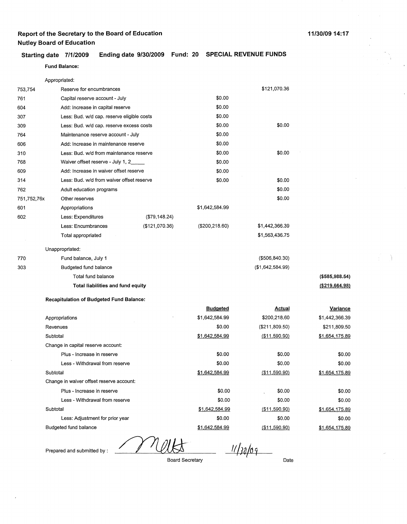#### **Starting date 7/1/2009 Ending date 9/30/2009 Fund: 20 SPECIAL REVENUE FUNDS**

#### **Fund Balance:**

|             | Appropriated:                                   |                |                 |                  |                  |
|-------------|-------------------------------------------------|----------------|-----------------|------------------|------------------|
| 753,754     | Reserve for encumbrances                        |                |                 | \$121,070.36     |                  |
| 761         | Capital reserve account - July                  |                | \$0.00          |                  |                  |
| 604         | Add: Increase in capital reserve                |                | \$0.00          |                  |                  |
| 307         | Less: Bud. w/d cap. reserve eligible costs      |                | \$0.00          |                  |                  |
| 309         | Less: Bud. w/d cap. reserve excess costs        |                | \$0.00          | \$0.00           |                  |
| 764         | Maintenance reserve account - July              |                | \$0.00          |                  |                  |
| 606         | Add: Increase in maintenance reserve            |                | \$0.00          |                  |                  |
| 310         | Less: Bud. w/d from maintenance reserve         |                | \$0.00          | \$0.00           |                  |
| 768         | Waiver offset reserve - July 1, 2               |                | \$0.00          |                  |                  |
| 609         | Add: Increase in waiver offset reserve          |                | \$0.00          |                  |                  |
| 314         | Less: Bud. w/d from waiver offset reserve       |                | \$0.00          | \$0.00           |                  |
| 762         | Adult education programs                        |                |                 | \$0.00           |                  |
| 751,752,76x | Other reserves                                  |                |                 | \$0.00           |                  |
| 601         | Appropriations                                  |                | \$1,642,584.99  |                  |                  |
| 602         | Less: Expenditures                              | (\$79,148.24)  |                 |                  |                  |
|             | Less: Encumbrances                              | (\$121,070.36) | (\$200, 218.60) | \$1,442,366.39   |                  |
|             | Total appropriated                              |                |                 | \$1,563,436.75   |                  |
|             |                                                 |                |                 |                  |                  |
|             | Unappropriated:                                 |                |                 |                  |                  |
| 770         | Fund balance, July 1                            |                |                 | ( \$506, 840.30) |                  |
| 303         | Budgeted fund balance                           |                |                 | (\$1,642,584.99) |                  |
|             | Total fund balance                              |                |                 |                  | (\$585,988.54)   |
|             | Total liabilities and fund equity               |                |                 |                  | ( \$219, 664.98) |
|             | <b>Recapitulation of Budgeted Fund Balance:</b> |                |                 |                  |                  |
|             |                                                 |                | <b>Budgeted</b> | <u>Actual</u>    | <u>Variance</u>  |
|             | Appropriations                                  |                | \$1,642,584.99  | \$200,218.60     | \$1,442,366.39   |
|             | Revenues                                        |                | \$0.00          | (\$211,809.50)   | \$211,809.50     |
|             | Subtotal                                        |                | \$1,642,584.99  | $($ \$11,590.90) | \$1,654,175.89   |
|             | Change in capital reserve account:              |                |                 |                  |                  |
|             | Plus - Increase in reserve                      |                | \$0.00          | \$0.00           | \$0.00           |
|             | Less - Withdrawal from reserve                  |                | \$0.00          | \$0.00           | \$0.00           |
|             | Subtotal                                        |                | \$1,642,584.99  | ( \$11,590.90)   | \$1,654,175.89   |
|             | Change in waiver offset reserve account:        |                |                 |                  |                  |
|             | Plus - Increase in reserve                      |                | \$0.00          | \$0.00           | \$0.00           |
|             | Less - Withdrawal from reserve                  |                | \$0.00          | \$0.00           | \$0.00           |
|             | Subtotal                                        |                | \$1,642,584.99  | (\$11,590.90)    | \$1,654,175.89   |
|             | Less: Adjustment for prior year                 |                | \$0.00          | \$0.00           | \$0.00           |
|             | <b>Budgeted fund balance</b>                    |                | \$1,642,584.99  | (\$11,590.90)    | \$1,654,175.89   |

Prepared and submitted by :

 $\mathcal{U}$ 

*ttbo/01* 

Board Secretary

Date

 $\hat{\mathbf{r}}$ 

j

**(\$585,988.54)**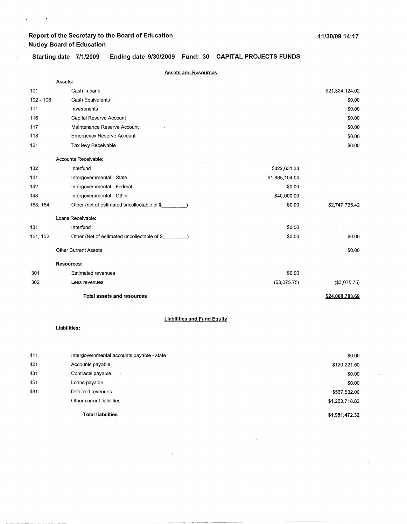$\hat{\mathbf{r}}$ 

 $\ddot{\phantom{1}}$ 

Starting date 7/1/2009 **Ending date 9/30/2009 Fund: 30** . **CAPITAL PROJECTS FUNDS** 

|             | <b>Assets and Resources</b>                  |                |                 |
|-------------|----------------------------------------------|----------------|-----------------|
|             | Assets:                                      |                |                 |
| 101         | Cash in bank                                 |                | \$21,324,124.02 |
| $102 - 106$ | Cash Equivalents                             |                | \$0.00          |
| 111         | Investments                                  |                | \$0.00          |
| 116         | Capital Reserve Account                      |                | \$0.00          |
| 117         | Maintenance Reserve Account                  |                | \$0.00          |
| 118         | <b>Emergency Reserve Account</b>             |                | \$0.00          |
| 121         | Tax levy Receivable                          |                | \$0.00          |
|             | Accounts Receivable:                         |                |                 |
| 132         | Interfund                                    | \$822,631.38   |                 |
| 141         | Intergovernmental - State                    | \$1,885,104.04 |                 |
| 142         | Intergovernmental - Federal                  | \$0.00         |                 |
| 143         | Intergovernmental - Other                    | \$40,000.00    |                 |
| 153, 154    | Other (net of estimated uncollectable of \$  | \$0.00         | \$2,747,735.42  |
|             | Loans Receivable:                            |                |                 |
| 131         | Interfund                                    | \$0.00         |                 |
| 151, 152    | Other (Net of estimated uncollectable of \$_ | \$0.00         | \$0.00          |
|             | <b>Other Current Assets</b>                  |                | \$0.00          |
|             | <b>Resources:</b>                            |                |                 |
| 301         | <b>Estimated revenues</b>                    | \$0.00         |                 |
| 302         | Less revenues                                | (\$3,075.75)   | (\$3,075.75)    |
|             | <b>Total assets and resources</b>            |                | \$24,068,783.69 |
|             |                                              |                |                 |
|             | <b>Liabilities and Fund Equity</b>           |                |                 |
|             | Liabilities:                                 |                |                 |
|             |                                              |                |                 |
| 411         | Intergovernmental accounts payable - state   |                | \$0.00          |
| 421         | Accounts payable                             |                | \$120,221.50    |
| 431         | Contracts payable                            |                | \$0.00          |
| 451         | Loans payable                                |                | \$0.00          |
| 481         | Deferred revenues                            |                | \$567,532.00    |
|             | Other current liabilities                    |                | \$1,263,718.82  |
|             | <b>Total liabilities</b>                     |                | \$1,951,472.32  |

----- ------------ ------------------------------

 $\hat{\mathcal{L}}$ 

 $\mathcal{S}=\frac{1}{2}$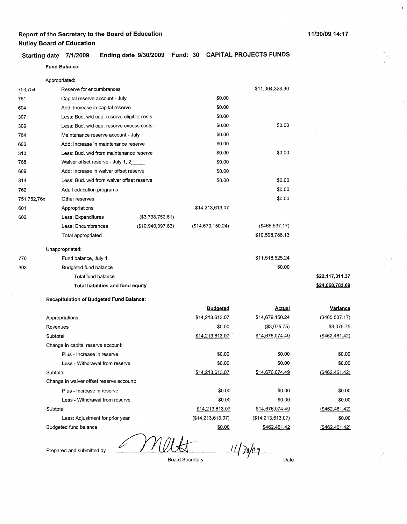#### **11/30/09 14:17**

**Starting date 7/1/2009 Ending date 9/30/2009 Fund: 30 CAPITAL PROJECTS FUNDS Fund Balance:** 

|             | Appropriated:                                   |                   |                   |                        |                   |
|-------------|-------------------------------------------------|-------------------|-------------------|------------------------|-------------------|
| 753,754     | Reserve for encumbrances                        |                   |                   | \$11,064,323.30        |                   |
| 761         | Capital reserve account - July                  |                   | \$0.00            |                        |                   |
| 604         | Add: Increase in capital reserve                |                   | \$0.00            |                        |                   |
| 307         | Less: Bud. w/d cap. reserve eligible costs      |                   | \$0.00            |                        |                   |
| 309         | Less: Bud. w/d cap. reserve excess costs        |                   | \$0.00            | \$0.00                 |                   |
| 764         | Maintenance reserve account - July              |                   | \$0.00            |                        |                   |
| 606         | Add: Increase in maintenance reserve            |                   | \$0.00            |                        |                   |
| 310         | Less: Bud. w/d from maintenance reserve         |                   | \$0.00            | \$0.00                 |                   |
| 768         | Waiver offset reserve - July 1, 2               |                   | \$0.00            |                        |                   |
| 609         | Add: Increase in waiver offset reserve          |                   | \$0.00            |                        |                   |
| 314         | Less: Bud. w/d from waiver offset reserve       |                   | \$0.00            | \$0.00                 |                   |
| 762         | Adult education programs                        |                   |                   | \$0.00                 |                   |
| 751,752,76x | Other reserves                                  |                   |                   | \$0.00                 |                   |
| 601         | Appropriations                                  |                   | \$14,213,613.07   |                        |                   |
| 602         | Less: Expenditures                              | (\$3,738,752.61)  |                   |                        |                   |
|             | Less: Encumbrances                              | (\$10,940,397.63) | (\$14,679,150.24) | (\$465,537.17)         |                   |
|             | Total appropriated                              |                   |                   | \$10,598,786.13        |                   |
|             | Unappropriated:                                 |                   |                   |                        |                   |
| 770         | Fund balance, July 1                            |                   |                   | \$11,518,525.24        |                   |
| 303         | <b>Budgeted fund balance</b>                    |                   |                   | \$0.00                 |                   |
|             | Total fund balance                              |                   |                   |                        | \$22,117,311.37   |
|             | Total liabilities and fund equity               |                   |                   |                        | \$24,068,783.69   |
|             | <b>Recapitulation of Budgeted Fund Balance:</b> |                   |                   |                        |                   |
|             |                                                 |                   | <b>Budgeted</b>   | <b>Actual</b>          | Variance          |
|             | Appropriations                                  |                   | \$14,213,613.07   | \$14,679,150.24        | (\$465,537.17)    |
|             | Revenues                                        |                   | \$0.00            | (\$3,075.75)           | \$3,075.75        |
|             | Subtotal                                        |                   | \$14,213,613.07   | \$14,676,074.49        | $($ \$462,461.42) |
|             | Change in capital reserve account:              |                   |                   |                        |                   |
|             | Plus - Increase in reserve                      |                   | \$0.00            | \$0.00                 | \$0.00            |
|             | Less - Withdrawal from reserve                  |                   | \$0.00            | \$0.00                 | \$0.00            |
|             | Subtotal                                        |                   | \$14,213,613.07   | \$14,676,074.49        | ( \$462, 461.42)  |
|             | Change in waiver offset reserve account:        |                   |                   |                        |                   |
|             | Plus - Increase in reserve                      |                   | \$0.00            | \$0.00                 | \$0.00            |
|             | Less - Withdrawal from reserve                  |                   | \$0.00            | \$0.00                 | \$0.00            |
|             | Subtotal                                        |                   | \$14,213,613.07   | <u>\$14,676,074.49</u> | $($ \$462,461.42) |

(\$462.461.42) \$0.00 (\$462,461.42)

Less: Adjustment for prior year

Budgeted fund balance

Prepared and submitted by :

 $11/30/09$ 

Date

(\$14,213,613.07) \$462.461.42

Board Secretary

(\$14,213,613.07)

\$0.00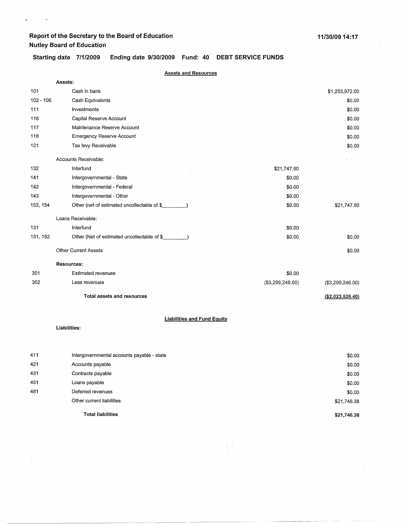$\mathbf{z}^{(i)}$  and  $\mathbf{z}^{(i)}$  .

 $\bar{\gamma}$ 

# Starting date 7/1/2009 Ending date 9/30/2009 Fund: 40<sup>'</sup> DEBT SERVICE FUNDS

|             | <b>Assets and Resources</b>                 |                                    |                   |
|-------------|---------------------------------------------|------------------------------------|-------------------|
|             | Assets:                                     |                                    |                   |
| 101         | Cash in bank                                |                                    | \$1,253,972.00    |
| $102 - 106$ | Cash Equivalents                            |                                    | \$0.00            |
| 111         | Investments                                 |                                    | \$0.00            |
| 116         | Capital Reserve Account                     |                                    | \$0.00            |
| 117         | Maintenance Reserve Account                 |                                    | \$0.00            |
| 118         | <b>Emergency Reserve Account</b>            |                                    | \$0.00            |
| 121         | Tax levy Receivable                         |                                    | \$0.00            |
|             | Accounts Receivable:                        |                                    |                   |
| 132         | Interfund                                   | \$21,747.60                        |                   |
| 141         | Intergovernmental - State                   | \$0.00                             |                   |
| 142         | Intergovernmental - Federal                 | \$0.00                             |                   |
| 143         | Intergovernmental - Other                   | \$0.00                             |                   |
| 153, 154    | Other (net of estimated uncollectable of \$ | \$0.00                             | \$21,747.60       |
|             | Loans Receivable:                           |                                    |                   |
| 131         | Interfund                                   | \$0.00                             |                   |
| 151, 152    | Other (Net of estimated uncollectable of \$ | \$0.00                             | \$0.00            |
|             | <b>Other Current Assets</b>                 |                                    | \$0.00            |
|             | <b>Resources:</b>                           |                                    |                   |
| 301         | <b>Estimated revenues</b>                   | \$0.00                             |                   |
| 302         | Less revenues                               | ( \$3,299,246.00)                  | (\$3,299,246.00)  |
|             | <b>Total assets and resources</b>           |                                    | ( \$2,023,526.40) |
|             |                                             |                                    |                   |
|             |                                             | <b>Liabilities and Fund Equity</b> |                   |
|             | Liabilities:                                |                                    |                   |
|             |                                             |                                    |                   |
| 411         | Intergovernmental accounts payable - state  |                                    | \$0.00            |
| 421         | Accounts payable                            |                                    | \$0.00            |
| 431         | Contracts payable                           |                                    | \$0.00            |
| 451         | Loans payable                               |                                    | \$0.00            |
| 481         | Deferred revenues                           |                                    | \$0.00            |
|             | Other current liabilities                   |                                    | \$21,746.38       |
|             | <b>Total liabilities</b>                    |                                    | \$21,746.38       |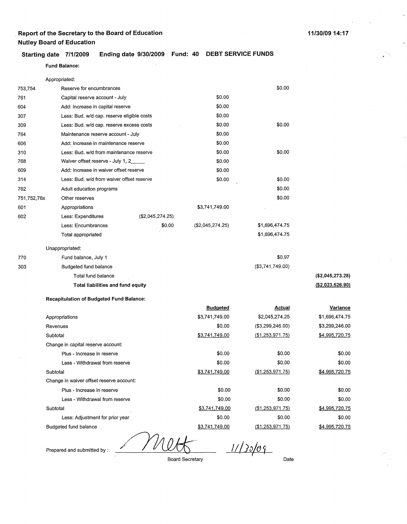### **Starting date 7/1/2009 Ending date 9/30/2009 Fund: 40 DEBT SERVICE FUNDS**

Fund **Balance:** 

|             | Appropriated:                                   |                  |                        |                   |                   |
|-------------|-------------------------------------------------|------------------|------------------------|-------------------|-------------------|
| 753,754     | Reserve for encumbrances                        |                  |                        | \$0.00            |                   |
| 761         | Capital reserve account - July                  |                  | \$0.00                 |                   |                   |
| 604         | Add: Increase in capital reserve                |                  | \$0.00                 |                   |                   |
| 307         | Less: Bud. w/d cap. reserve eligible costs      |                  | \$0.00                 |                   |                   |
| 309         | Less: Bud. w/d cap. reserve excess costs        |                  | \$0.00                 | \$0.00            |                   |
| 764         | Maintenance reserve account - July              |                  | \$0.00                 |                   |                   |
| 606         | Add: Increase in maintenance reserve            |                  | \$0.00                 |                   |                   |
| 310         | Less: Bud. w/d from maintenance reserve         |                  | \$0.00                 | \$0.00            |                   |
| 768         | Waiver offset reserve - July 1, 2               |                  | \$0.00                 |                   |                   |
| 609         | Add: Increase in waiver offset reserve          |                  | \$0.00                 |                   |                   |
| 314         | Less: Bud. w/d from waiver offset reserve       |                  | \$0.00                 | \$0.00            |                   |
| 762         | Adult education programs                        |                  |                        | \$0.00            |                   |
| 751,752,76x | Other reserves                                  |                  |                        | \$0.00            |                   |
| 601         | Appropriations                                  |                  | \$3,741,749.00         |                   |                   |
| 602         | Less: Expenditures                              | (\$2,045,274.25) |                        |                   |                   |
|             | Less: Encumbrances                              | \$0.00           | (\$2,045,274.25)       | \$1,696,474.75    |                   |
|             | Total appropriated                              |                  |                        | \$1,696,474.75    |                   |
|             | Unappropriated:                                 |                  |                        |                   |                   |
| 770         | Fund balance, July 1                            |                  |                        | \$0.97            |                   |
| 303         | Budgeted fund balance                           |                  |                        | (\$3,741,749.00)  |                   |
|             | Total fund balance                              |                  |                        |                   | (\$2,045,273.28)  |
|             | Total liabilities and fund equity               |                  |                        |                   | ( \$2,023,526.90) |
|             | <b>Recapitulation of Budgeted Fund Balance:</b> |                  |                        |                   |                   |
|             |                                                 |                  | <u>Budgeted</u>        | <b>Actual</b>     | <u>Variance</u>   |
|             | Appropriations                                  |                  | \$3,741,749.00         | \$2,045,274.25    | \$1,696,474.75    |
|             | Revenues                                        |                  | \$0.00                 | (\$3,299,246.00)  | \$3,299,246.00    |
|             | Subtotal                                        |                  | \$3,741,749.00         | ( \$1,253,971.75) | \$4,995,720.75    |
|             | Change in capital reserve account:              |                  |                        |                   |                   |
|             | Plus - Increase in reserve                      |                  | \$0.00                 | \$0.00            | \$0.00            |
|             | Less - Withdrawal from reserve                  |                  | \$0.00                 | \$0.00            | \$0.00            |
|             | Subtotal                                        |                  | \$3,741,749.00         | (\$1,253,971.75)  | \$4,995,720.75    |
|             | Change in waiver offset reserve account:        |                  |                        |                   |                   |
|             | Plus - Increase in reserve                      |                  | \$0.00                 | \$0.00            | \$0.00            |
|             | Less - Withdrawal from reserve                  |                  | \$0.00                 | \$0.00            | \$0.00            |
|             | Subtotal                                        |                  | \$3,741,749.00         | ( \$1,253,971.75) | \$4,995,720.75    |
|             | Less: Adjustment for prior year                 |                  | \$0.00                 | \$0.00            | \$0.00            |
|             | Budgeted fund balance                           |                  | \$3,741,749.00         | ( \$1,253,971.75) | \$4,995,720.75    |
|             | Prepared and submitted by:                      |                  | <b>Board Secretary</b> | Date              |                   |
|             |                                                 |                  |                        |                   |                   |

<u>1/20/09</u>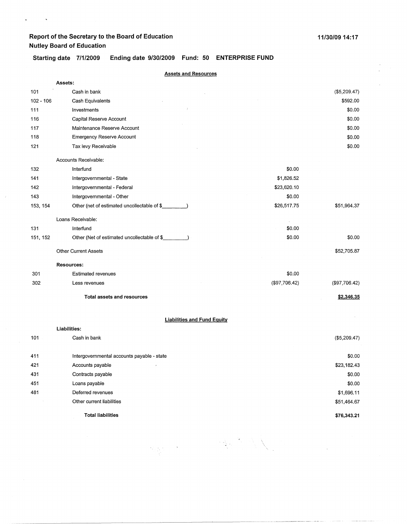$\omega_{\rm{max}}$  and  $\omega_{\rm{max}}$ 

 $\bar{f}$ 

**\$76,343.21** 

### **Starting date 7/1/2009 Ending date 9/30/2009 Fund: 50 ENTERPRISE FUND**

|             | <b>Assets and Resources</b>                 |               |               |
|-------------|---------------------------------------------|---------------|---------------|
|             | Assets:                                     |               |               |
| 101         | Cash in bank                                |               | (\$5,209.47)  |
| $102 - 106$ | Cash Equivalents                            |               | \$592.00      |
| 111         | Investments                                 |               | \$0.00        |
| 116         | Capital Reserve Account                     |               | \$0.00        |
| 117         | Maintenance Reserve Account                 |               | \$0.00        |
| 118         | <b>Emergency Reserve Account</b>            |               | \$0.00        |
| 121         | Tax levy Receivable                         |               | \$0.00        |
|             | Accounts Receivable:                        |               |               |
| 132         | Interfund                                   | \$0.00        |               |
| 141         | Intergovernmental - State                   | \$1,826.52    |               |
| 142         | Intergovernmental - Federal                 | \$23,620.10   |               |
| 143         | Intergovernmental - Other                   | \$0.00        |               |
| 153, 154    | Other (net of estimated uncollectable of \$ | \$26,517.75   | \$51,964.37   |
|             | Loans Receivable:                           |               |               |
| 131         | Interfund                                   | \$0.00        |               |
| 151, 152    | Other (Net of estimated uncollectable of \$ | \$0.00        | \$0.00        |
|             | <b>Other Current Assets</b>                 |               | \$52,705.87   |
|             | <b>Resources:</b>                           |               |               |
| 301         | <b>Estimated revenues</b>                   | \$0.00        |               |
| 302         | Less revenues                               | (\$97,706.42) | (\$97,706.42) |
|             | <b>Total assets and resources</b>           |               | \$2,346.35    |
|             | <b>Liabilities and Fund Equity</b>          |               |               |
|             | Liabilities:                                |               |               |
| 101         | Cash in bank                                |               | (\$5,209.47)  |
| 411         | Intergovernmental accounts payable - state  |               | \$0.00        |
| 421         | Accounts payable                            |               | \$23,182.43   |
| 431         | Contracts payable                           |               | \$0.00        |
| 451         | Loans payable                               |               | \$0.00        |
| 481         | Deferred revenues                           |               | \$1,696.11    |
|             | Other current liabilities                   |               | \$51,464.67   |
|             |                                             |               |               |

**不是** 

**Total liabilities**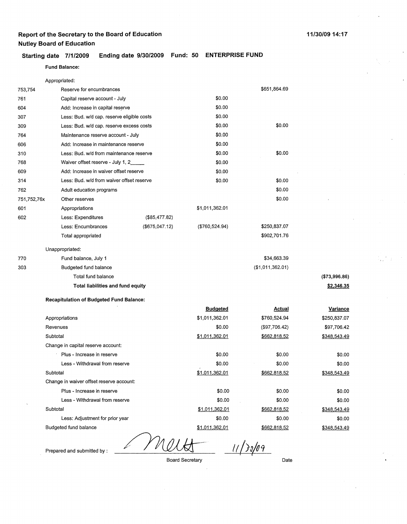#### **Starting date 7/1/2009 Ending date 9/30/2009 Fund: 50 ENTERPRISE FUND**

#### **Fund Balance:**

|             | Appropriated:                                   |                |                  |                  |                 |
|-------------|-------------------------------------------------|----------------|------------------|------------------|-----------------|
| 753,754     | Reserve for encumbrances                        |                |                  | \$651,864.69     |                 |
| 761         | Capital reserve account - July                  |                | \$0.00           |                  |                 |
| 604         | Add: Increase in capital reserve                |                | \$0.00           |                  |                 |
| 307         | Less: Bud. w/d cap. reserve eligible costs      |                | \$0.00           |                  |                 |
| 309         | Less: Bud. w/d cap. reserve excess costs        |                | \$0.00           | \$0.00           |                 |
| 764         | Maintenance reserve account - July              |                | \$0.00           |                  |                 |
| 606         | Add: Increase in maintenance reserve            |                | \$0.00           |                  |                 |
| 310         | Less: Bud. w/d from maintenance reserve         |                | \$0.00           | \$0.00           |                 |
| 768         | Waiver offset reserve - July 1, 2               |                | \$0.00           |                  |                 |
| 609         | Add: Increase in waiver offset reserve          |                | \$0.00           |                  |                 |
| 314         | Less: Bud. w/d from waiver offset reserve       |                | \$0.00           | \$0.00           |                 |
| 762         | Adult education programs                        |                |                  | \$0.00           |                 |
| 751,752,76x | Other reserves                                  |                |                  | \$0.00           |                 |
| 601         | Appropriations                                  |                | \$1,011,362.01   |                  |                 |
| 602         | Less: Expenditures                              | (\$85,477.82)  |                  |                  |                 |
|             | Less: Encumbrances                              | (\$675,047.12) | ( \$760, 524.94) | \$250,837.07     |                 |
|             | Total appropriated                              |                |                  | \$902,701.76     |                 |
|             | Unappropriated:                                 |                |                  |                  |                 |
| 770         | Fund balance, July 1                            |                |                  | \$34,663.39      |                 |
| 303         | Budgeted fund balance                           |                |                  | (\$1,011,362.01) |                 |
|             | Total fund balance                              |                |                  |                  | (\$73,996.86)   |
|             | Total liabilities and fund equity               |                |                  |                  | \$2,346.35      |
|             | <b>Recapitulation of Budgeted Fund Balance:</b> |                |                  |                  |                 |
|             |                                                 |                | <b>Budgeted</b>  | <b>Actual</b>    | <b>Variance</b> |
|             | Appropriations                                  |                | \$1,011,362.01   | \$760,524.94     | \$250,837.07    |
|             | Revenues                                        |                | \$0.00           | (\$97,706.42)    | \$97,706.42     |
|             | Subtotal                                        |                | \$1,011,362.01   | \$662,818.52     | \$348,543.49    |
|             | Change in capital reserve account:              |                |                  |                  |                 |
|             | Plus - Increase in reserve                      |                | \$0.00           | \$0.00           | \$0.00          |
|             | Less - Withdrawal from reserve                  |                | \$0.00           | \$0.00           | \$0.00          |
|             | Subtotal                                        |                | \$1,011,362.01   | \$662,818.52     | \$348,543.49    |
|             | Change in waiver offset reserve account:        |                |                  |                  |                 |
|             | Plus - Increase in reserve                      |                | \$0.00           | \$0.00           | \$0.00          |
|             | Less - Withdrawal from reserve                  |                | \$0.00           | \$0.00           | \$0.00          |
|             | Subtotal                                        |                | \$1,011,362.01   | \$662,818.52     | \$348,543.49    |
|             | Less: Adjustment for prior year                 |                | \$0.00           | \$0.00           | \$0.00          |
|             | Budgeted fund balance                           |                | \$1,011,362.01   | \$662,818.52     | \$348,543.49    |

Prepared and submitted by : <u>////////// // // /// //</u>

Board Secretary **Date**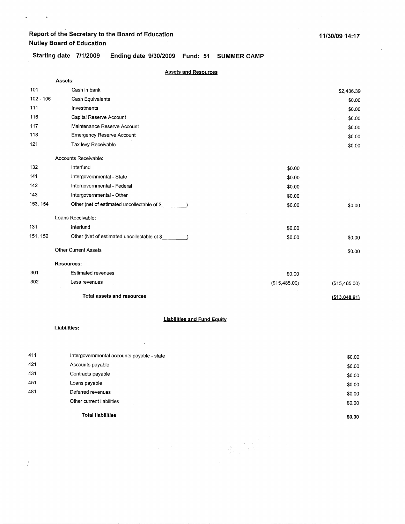$\mathbf{v} = \mathbf{v} \times \mathbf{v}$ 

**Starting date 7/1/2009 Ending date 9/30/2009 Fund: 51 SUMMER CAMP** 

|             | <b>Assets and Resources</b>                 |               |               |
|-------------|---------------------------------------------|---------------|---------------|
|             | Assets:                                     |               |               |
| 101         | Cash in bank                                |               | \$2,436.39    |
| $102 - 106$ | Cash Equivalents                            |               | \$0.00        |
| 111         | Investments                                 |               | \$0.00        |
| 116         | Capital Reserve Account                     |               | \$0.00        |
| 117         | Maintenance Reserve Account                 |               | \$0.00        |
| 118         | <b>Emergency Reserve Account</b>            |               | \$0.00        |
| 121         | Tax levy Receivable                         |               | \$0.00        |
|             | Accounts Receivable:                        |               |               |
| 132         | Interfund                                   | \$0.00        |               |
| 141         | Intergovernmental - State                   | \$0.00        |               |
| 142         | Intergovernmental - Federal                 | \$0.00        |               |
| 143         | Intergovernmental - Other                   | \$0.00        |               |
| 153, 154    | Other (net of estimated uncollectable of \$ | \$0.00        | \$0.00        |
|             | Loans Receivable:                           |               |               |
| 131         | Interfund                                   | \$0.00        |               |
| 151, 152    | Other (Net of estimated uncollectable of \$ | \$0.00        | \$0.00        |
|             | <b>Other Current Assets</b>                 |               | \$0.00        |
| $\epsilon$  | <b>Resources:</b>                           |               |               |
| 301         | <b>Estimated revenues</b>                   | \$0.00        |               |
| 302         | Less revenues                               | (\$15,485.00) | (\$15,485.00) |
|             | <b>Total assets and resources</b>           |               | (\$13,048.61) |

#### **Liabilities and Fund Equity**

 $\bar{z}$ 

**Liabilities:** 

 $\Big)$ 

|     | Other current liabilities                  | \$0.00 |
|-----|--------------------------------------------|--------|
| 481 | Deferred revenues                          | \$0.00 |
| 451 | Loans payable                              | \$0.00 |
| 431 | Contracts payable                          | \$0.00 |
| 421 | Accounts payable                           | \$0.00 |
| 411 | Intergovernmental accounts payable - state | \$0.00 |
|     |                                            |        |

 $\begin{array}{c} \mathbf{x} = \mathbf{x} \\ \mathbf{x} = \mathbf{y} \end{array}$ 

 $\begin{bmatrix} \mathbf{1} & \mathbf{1} & \mathbf{1} \\ \mathbf{1} & \mathbf{1} & \mathbf{1} \\ \mathbf{1} & \mathbf{1} & \mathbf{1} \\ \mathbf{1} & \mathbf{1} & \mathbf{1} \end{bmatrix}$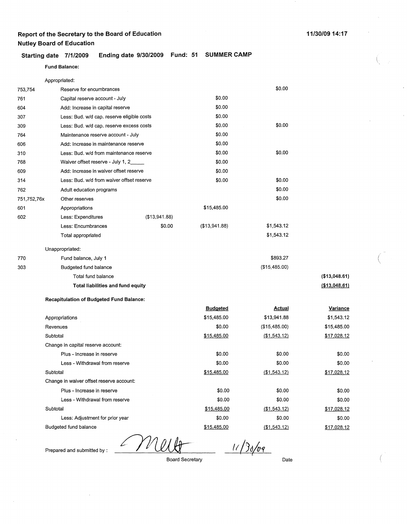#### **Starting date 7/1/2009 Ending date 9/30/2009 Fund: 51 SUMMER CAMP**

## **Fund Balance:**  Appropriated:

| 753,754     | Reserve for encumbrances                        |        |                 | \$0.00        |               |
|-------------|-------------------------------------------------|--------|-----------------|---------------|---------------|
| 761         | Capital reserve account - July                  |        | \$0.00          |               |               |
| 604         | Add: Increase in capital reserve                |        | \$0.00          |               |               |
| 307         | Less: Bud. w/d cap. reserve eligible costs      |        | \$0.00          |               |               |
| 309         | Less: Bud. w/d cap. reserve excess costs        |        | \$0.00          | \$0.00        |               |
| 764         | Maintenance reserve account - July              |        | \$0.00          |               |               |
| 606         | Add: Increase in maintenance reserve            |        | \$0.00          |               |               |
| 310         | Less: Bud. w/d from maintenance reserve         |        | \$0.00          | \$0.00        |               |
| 768         | Waiver offset reserve - July 1, 2               |        | \$0.00          |               |               |
| 609         | Add: Increase in waiver offset reserve          |        | \$0.00          |               |               |
| 314         | Less: Bud. w/d from waiver offset reserve       |        | \$0.00          | \$0.00        |               |
| 762         | Adult education programs                        |        |                 | \$0.00        |               |
| 751,752,76x | Other reserves                                  |        |                 | \$0.00        |               |
| 601         | Appropriations                                  |        | \$15,485.00     |               |               |
| 602         | Less: Expenditures<br>(\$13,941.88)             |        |                 |               |               |
|             | Less: Encumbrances                              | \$0.00 | (\$13,941.88)   | \$1,543.12    |               |
|             | Total appropriated                              |        |                 | \$1,543.12    |               |
|             | Unappropriated:                                 |        |                 |               |               |
| 770         | Fund balance, July 1                            |        |                 | \$893.27      |               |
| 303         | Budgeted fund balance                           |        |                 | (\$15,485.00) |               |
|             | Total fund balance                              |        |                 |               | (\$13,048.61) |
|             | Total liabilities and fund equity               |        |                 |               | (\$13,048.61) |
|             | <b>Recapitulation of Budgeted Fund Balance:</b> |        |                 |               |               |
|             |                                                 |        | <b>Budgeted</b> | <b>Actual</b> | Variance      |
|             | Appropriations                                  |        | \$15,485.00     | \$13,941.88   | \$1,543.12    |
|             | Revenues                                        |        | \$0.00          | (\$15,485.00) | \$15,485.00   |
|             | Subtotal                                        |        | \$15,485.00     | (\$1,543,12)  | \$17,028.12   |
|             | Change in capital reserve account:              |        |                 |               |               |

| Subtotal                                 | <b>J</b> 10,400.00 | (J. 1, 1040. [Z] |  |
|------------------------------------------|--------------------|------------------|--|
| Change in capital reserve account:       |                    |                  |  |
| Plus - Increase in reserve               | \$0.00             | \$0.00           |  |
| Less - Withdrawal from reserve           | \$0.00             | \$0.00           |  |
| Subtotal                                 | \$15,485.00        | (\$1,543.12)     |  |
| Change in waiver offset reserve account: |                    |                  |  |
| Plus - Increase in reserve               | \$0.00             | \$0.00           |  |
| Less - Withdrawal from reserve           | \$0.00             | \$0.00           |  |
| Subtotal                                 | \$15,485.00        | (\$1,543.12)     |  |
| Less: Adjustment for prior year          | \$0.00             | \$0.00           |  |
| Budgeted fund balance                    | \$15,485.00        | (\$1,543.12)     |  |

Prepared and submitted by :

Board Secretary

У П

 $11/30/09$ 

Date

\$0.00 \$0.00 \$17,028.12

\$0.00 \$0.00 \$17,028.12 \$0.00 \$17,028.12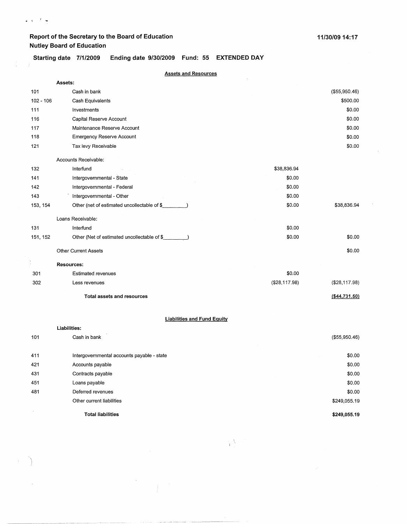$\mathbf{v} \in \mathbb{R}^{n \times d}$ 

\$0.00 \$249,055.19

**\$249,055.19** 

**Starting date 7/1/2009 Ending date 9/30/2009 Fund: 55 EXTENDED DAY** 

| <b>Assets and Resources</b> |                                             |               |                 |  |
|-----------------------------|---------------------------------------------|---------------|-----------------|--|
|                             | Assets:                                     |               |                 |  |
| 101                         | Cash in bank                                |               | (\$55,950.46)   |  |
| $102 - 106$                 | Cash Equivalents                            |               | \$500.00        |  |
| 111                         | Investments                                 |               | \$0.00          |  |
| 116                         | Capital Reserve Account                     |               | \$0.00          |  |
| 117                         | Maintenance Reserve Account                 |               | \$0.00          |  |
| 118                         | <b>Emergency Reserve Account</b>            |               | \$0.00          |  |
| 121                         | Tax levy Receivable                         |               | \$0.00          |  |
|                             | Accounts Receivable:                        |               |                 |  |
| 132                         | Interfund                                   | \$38,836.94   |                 |  |
| 141                         | Intergovernmental - State                   | \$0.00        |                 |  |
| 142                         | Intergovernmental - Federal                 | \$0.00        |                 |  |
| 143                         | Intergovernmental - Other                   | \$0.00        |                 |  |
| 153, 154                    | Other (net of estimated uncollectable of \$ | \$0.00        | \$38,836.94     |  |
|                             | Loans Receivable:                           |               |                 |  |
| 131                         | Interfund                                   | \$0.00        |                 |  |
| 151, 152                    | Other (Net of estimated uncollectable of \$ | \$0.00        | \$0.00          |  |
|                             | <b>Other Current Assets</b>                 |               | \$0.00          |  |
|                             | <b>Resources:</b>                           |               |                 |  |
| 301                         | <b>Estimated revenues</b>                   | \$0.00        |                 |  |
| 302                         | Less revenues                               | (\$28,117.98) | (\$28,117.98)   |  |
|                             | <b>Total assets and resources</b>           |               | ( \$44, 731.50) |  |
|                             | <b>Liabilities and Fund Equity</b>          |               |                 |  |
|                             | Liabilities:                                |               |                 |  |
| 101                         | Cash in bank                                |               | (\$55,950.46)   |  |
| 411                         | Intergovernmental accounts payable - state  |               | \$0.00          |  |
| 421                         | Accounts payable                            |               | \$0.00          |  |
| 431                         | Contracts payable                           |               | \$0.00          |  |
| 451                         | Loans payable                               |               | \$0.00          |  |

**Total liabilities** 

 $\sim$ 

Deferred revenues Other current liabilities

481

 $\sim$ 

 $)$ 

 $\sim$ 

 $\mathcal{T}_\mathrm{f}$